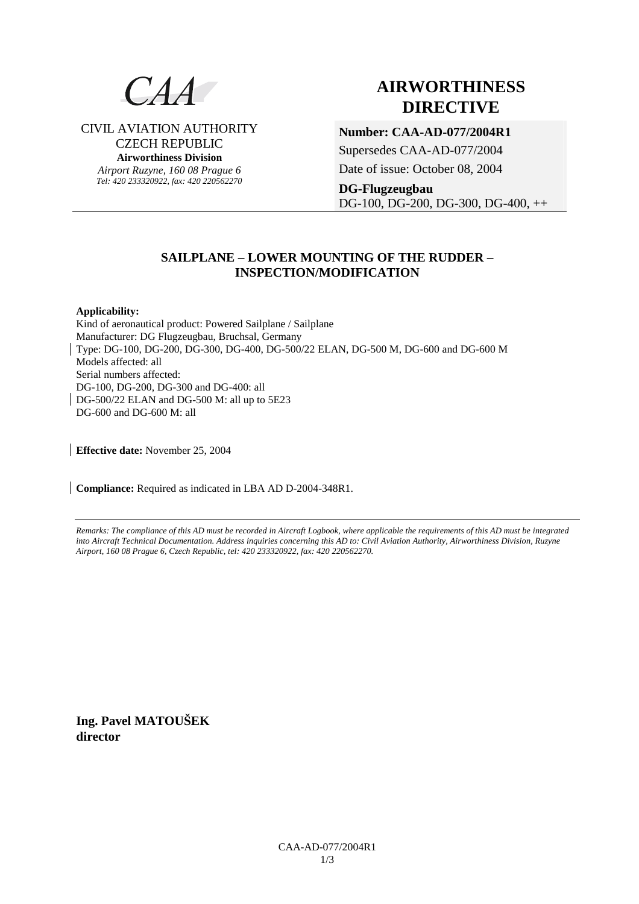

**AIRWORTHINESS DIRECTIVE**

CIVIL AVIATION AUTHORITY CZECH REPUBLIC **Airworthiness Division** 

> *Airport Ruzyne, 160 08 Prague 6 Tel: 420 233320922, fax: 420 220562270*

# **Number: CAA-AD-077/2004R1**

Supersedes CAA-AD-077/2004

Date of issue: October 08, 2004

**DG-Flugzeugbau**  DG-100, DG-200, DG-300, DG-400, ++

# **SAILPLANE – LOWER MOUNTING OF THE RUDDER – INSPECTION/MODIFICATION**

## **Applicability:**

Kind of aeronautical product: Powered Sailplane / Sailplane Manufacturer: DG Flugzeugbau, Bruchsal, Germany Type: DG-100, DG-200, DG-300, DG-400, DG-500/22 ELAN, DG-500 M, DG-600 and DG-600 M Models affected: all Serial numbers affected: DG-100, DG-200, DG-300 and DG-400: all DG-500/22 ELAN and DG-500 M: all up to 5E23 DG-600 and DG-600 M: all

**Effective date:** November 25, 2004

**Compliance:** Required as indicated in LBA AD D-2004-348R1.

*Remarks: The compliance of this AD must be recorded in Aircraft Logbook, where applicable the requirements of this AD must be integrated into Aircraft Technical Documentation. Address inquiries concerning this AD to: Civil Aviation Authority, Airworthiness Division, Ruzyne Airport, 160 08 Prague 6, Czech Republic, tel: 420 233320922, fax: 420 220562270.* 

**Ing. Pavel MATOUŠEK director**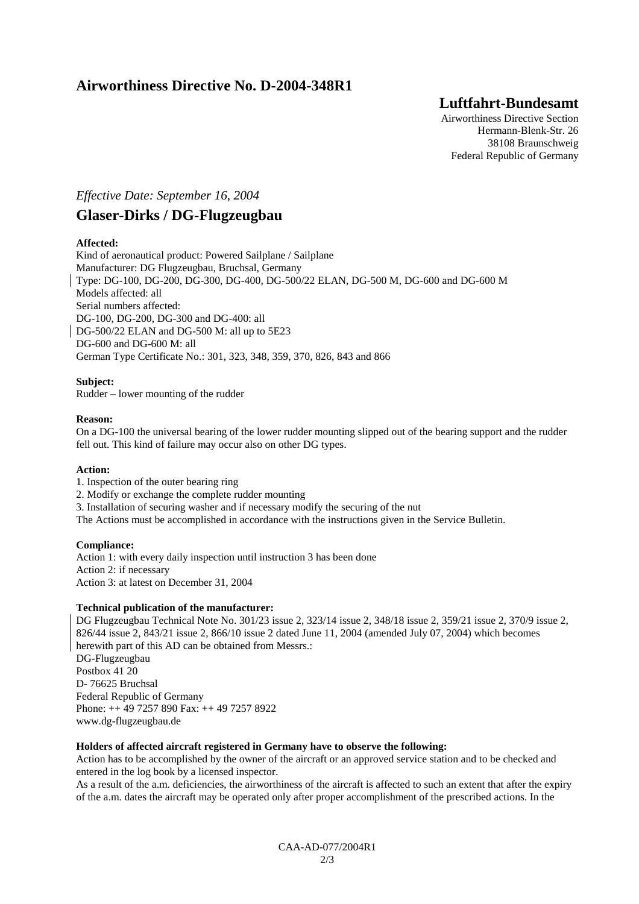# **Airworthiness Directive No. D-2004-348R1**

# **Luftfahrt-Bundesamt**

Airworthiness Directive Section Hermann-Blenk-Str. 26 38108 Braunschweig Federal Republic of Germany

# *Effective Date: September 16, 2004*

# **Glaser-Dirks / DG-Flugzeugbau**

# **Affected:**

Kind of aeronautical product: Powered Sailplane / Sailplane Manufacturer: DG Flugzeugbau, Bruchsal, Germany Type: DG-100, DG-200, DG-300, DG-400, DG-500/22 ELAN, DG-500 M, DG-600 and DG-600 M Models affected: all Serial numbers affected: DG-100, DG-200, DG-300 and DG-400: all DG-500/22 ELAN and DG-500 M: all up to 5E23 DG-600 and DG-600 M: all German Type Certificate No.: 301, 323, 348, 359, 370, 826, 843 and 866

# **Subject:**

Rudder – lower mounting of the rudder

## **Reason:**

On a DG-100 the universal bearing of the lower rudder mounting slipped out of the bearing support and the rudder fell out. This kind of failure may occur also on other DG types.

## **Action:**

1. Inspection of the outer bearing ring

- 2. Modify or exchange the complete rudder mounting
- 3. Installation of securing washer and if necessary modify the securing of the nut

The Actions must be accomplished in accordance with the instructions given in the Service Bulletin.

## **Compliance:**

Action 1: with every daily inspection until instruction 3 has been done Action 2: if necessary Action 3: at latest on December 31, 2004

## **Technical publication of the manufacturer:**

DG Flugzeugbau Technical Note No. 301/23 issue 2, 323/14 issue 2, 348/18 issue 2, 359/21 issue 2, 370/9 issue 2, 826/44 issue 2, 843/21 issue 2, 866/10 issue 2 dated June 11, 2004 (amended July 07, 2004) which becomes herewith part of this AD can be obtained from Messrs.: DG-Flugzeugbau Postbox 41 20 D- 76625 Bruchsal Federal Republic of Germany Phone: ++ 49 7257 890 Fax: ++ 49 7257 8922 www.dg-flugzeugbau.de

## **Holders of affected aircraft registered in Germany have to observe the following:**

Action has to be accomplished by the owner of the aircraft or an approved service station and to be checked and entered in the log book by a licensed inspector.

As a result of the a.m. deficiencies, the airworthiness of the aircraft is affected to such an extent that after the expiry of the a.m. dates the aircraft may be operated only after proper accomplishment of the prescribed actions. In the